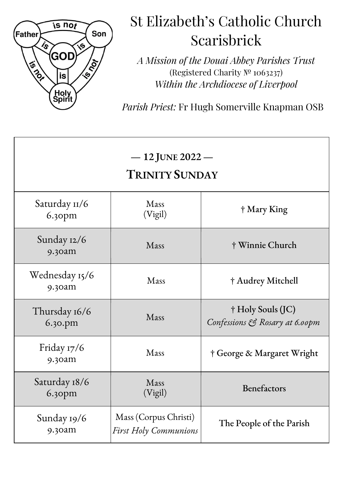

# St Elizabeth's Catholic Church Scarisbrick

*A Mission of the Douai Abbey Parishes Trust* (Registered Charity № 1063237) *Within the Archdiocese of Liverpool*

*Parish Priest:* Fr Hugh Somerville Knapman OSB

| $-12$ JUNE 2022 $-$<br><b>TRINITY SUNDAY</b> |                                                       |                                                     |
|----------------------------------------------|-------------------------------------------------------|-----------------------------------------------------|
| Saturday 11/6<br>6.30pm                      | Mass<br>(Vigil)                                       | † Mary King                                         |
| Sunday 12/6<br>9.30am                        | Mass                                                  | † Winnie Church                                     |
| Wednesday 15/6<br>9.30am                     | Mass                                                  | † Audrey Mitchell                                   |
| Thursday 16/6<br>6.30.pm                     | Mass                                                  | † Holy Souls (JC)<br>Confessions & Rosary at 6.00pm |
| Friday 17/6<br>9.30am                        | Mass                                                  | † George & Margaret Wright                          |
| Saturday 18/6<br>$6.3$ opm                   | Mass<br>(Vigil)                                       | Benefactors                                         |
| Sunday 19/6<br>9.30am                        | Mass (Corpus Christi)<br><b>First Holy Communions</b> | The People of the Parish                            |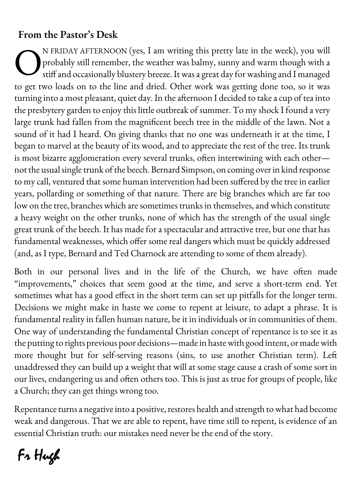### **From the Pastor's Desk**

N FRIDAY AFTERNOON (yes, I am writing this pretty late in the week), you will probably still remember, the weather was balmy, sunny and warm though with a stiff and occasionally blustery breeze.It was a great day for washing and I managed to get two loads on to the line and dried. Other work was getting done too, so it was turning into a most pleasant, quiet day. In the afternoon I decided to take a cup of tea into the presbytery garden to enjoy this little outbreak of summer. To my shock I found a very large trunk had fallen from the magnificent beech tree in the middle of the lawn. Not a sound of it had I heard. On giving thanks that no one was underneath it at the time, I began to marvel at the beauty of its wood, and to appreciate the rest of the tree. Its trunk is most bizarre agglomeration every several trunks, often intertwining with each other not the usual single trunk of the beech. Bernard Simpson, on coming over in kind response to my call, ventured that some human intervention had been suffered by the tree in earlier years, pollarding or something of that nature. There are big branches which are far too low on the tree, branches which are sometimes trunks in themselves, and which constitute a heavy weight on the other trunks, none of which has the strength of the usual single great trunk of the beech. It has made for a spectacular and attractive tree, but one that has fundamental weaknesses, which offer some real dangers which must be quickly addressed (and, as I type, Bernard and Ted Charnock are attending to some of them already). O

Both in our personal lives and in the life of the Church, we have often made "improvements," choices that seem good at the time, and serve a short-term end. Yet sometimes what has a good effect in the short term can set up pitfalls for the longer term. Decisions we might make in haste we come to repent at leisure, to adapt a phrase. It is fundamental reality in fallen human nature, be it in individuals or in communities of them. One way of understanding the fundamental Christian concept of repentance is to see it as the putting to rights previous poor decisions—made in haste with good intent, or made with more thought but for self-serving reasons (sins, to use another Christian term). Left unaddressed they can build up a weight that will at some stage cause a crash of some sort in our lives, endangering us and often others too. This is just as true for groups of people, like a Church; they can get things wrong too.

Repentance turns a negative into a positive, restores health and strength to what had become weak and dangerous. That we are able to repent, have time still to repent, is evidence of an essential Christian truth: our mistakes need never be the end of the story.

Fr Hugh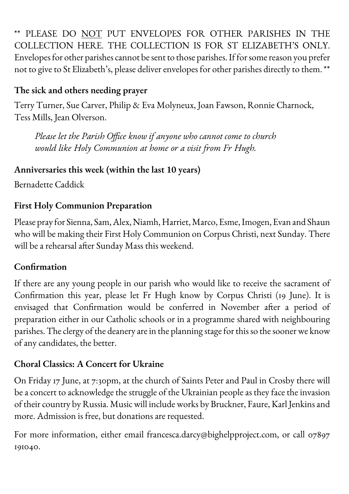\*\* PLEASE DO NOT PUT ENVELOPES FOR OTHER PARISHES IN THE COLLECTION HERE. THE COLLECTION IS FOR ST ELIZABETH'S ONLY. Envelopes for other parishes cannot be sent to those parishes. If for some reason you prefer not to give to St Elizabeth's, please deliver envelopes for other parishes directly to them. \*\*

#### **The sick and others needing prayer**

Terry Turner, Sue Carver, Philip & Eva Molyneux, Joan Fawson, Ronnie Charnock, Tess Mills, Jean Olverson.

*Please let the Parish Office know if anyone who cannot come to church would like Holy Communion at home or a visit from Fr Hugh.*

#### **Anniversaries this week (within the last 10 years)**

Bernadette Caddick

#### **First Holy Communion Preparation**

Please pray for Sienna, Sam, Alex, Niamh, Harriet, Marco, Esme,Imogen, Evan and Shaun who will be making their First Holy Communion on Corpus Christi, next Sunday. There will be a rehearsal after Sunday Mass this weekend.

#### **Confrmation**

If there are any young people in our parish who would like to receive the sacrament of Confirmation this year, please let Fr Hugh know by Corpus Christi (19 June). It is envisaged that Confirmation would be conferred in November after a period of preparation either in our Catholic schools or in a programme shared with neighbouring parishes. The clergy of the deanery are in the planning stage for this so the sooner we know of any candidates, the better.

#### **Choral Classics: A Concert for Ukraine**

On Friday 17 June, at 7:30pm, at the church of Saints Peter and Paul in Crosby there will be a concert to acknowledge the struggle of the Ukrainian people as they face the invasion of their country by Russia. Music will includeworks by Bruckner, Faure, Karl Jenkins and more. Admission is free, but donations are requested.

For more information, either email francesca.darcy@bighelpproject.com, or call 07897 191040.